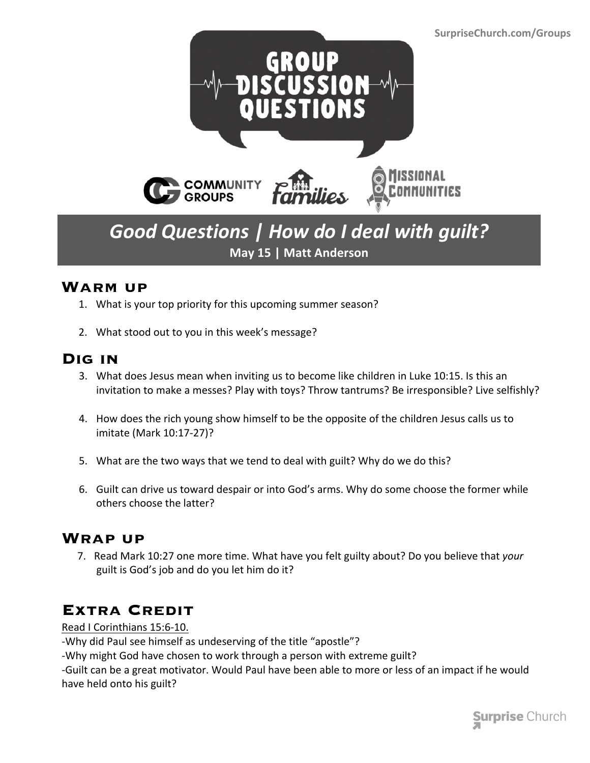

## *Good Questions | How do I deal with guilt?* **May 15 | Matt Anderson**

#### **Warm up**

- 1. What is your top priority for this upcoming summer season?
- 2. What stood out to you in this week's message?

### **Dig in**

- 3. What does Jesus mean when inviting us to become like children in Luke 10:15. Is this an invitation to make a messes? Play with toys? Throw tantrums? Be irresponsible? Live selfishly?
- 4. How does the rich young show himself to be the opposite of the children Jesus calls us to imitate (Mark 10:17-27)?
- 5. What are the two ways that we tend to deal with guilt? Why do we do this?
- 6. Guilt can drive us toward despair or into God's arms. Why do some choose the former while others choose the latter?

#### **Wrap up**

 7. Read Mark 10:27 one more time. What have you felt guilty about? Do you believe that *your* guilt is God's job and do you let him do it?

### **Extra Credit**

Read I Corinthians 15:6-10.

-Why did Paul see himself as undeserving of the title "apostle"?

-Why might God have chosen to work through a person with extreme guilt?

-Guilt can be a great motivator. Would Paul have been able to more or less of an impact if he would have held onto his guilt?